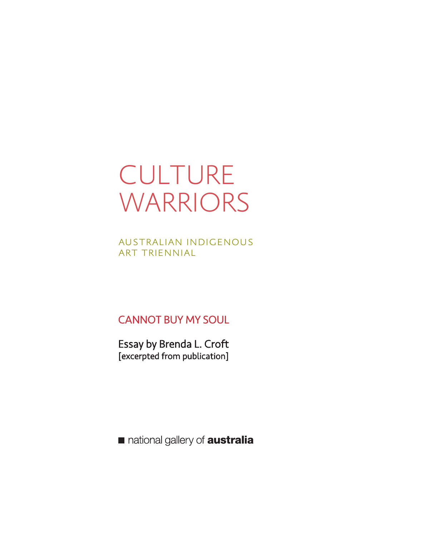## CULTURE WARRIORS

australian indigenous art triennial

## CANNOT BUY MY SOUL

Essay by Brenda L. Croft [excerpted from publication]

national gallery of **australia**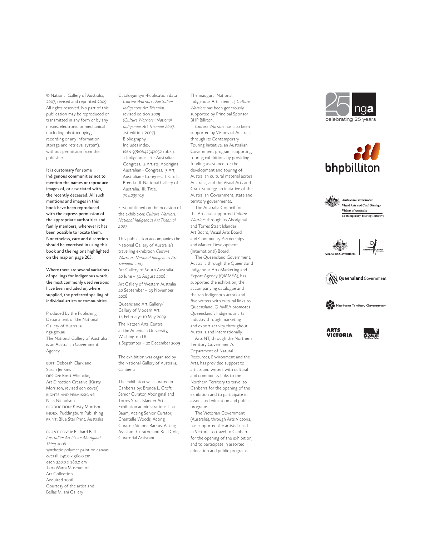© National Gallery of Australia, 2007, revised and reprinted 2009 All rights reserved. No part of this publication may be reproduced or transmitted in any form or by any means, electronic or mechanical (including photocopying, recording or any information storage and retrieval system), without permission from the publisher.

It is customary for some Indigenous communities not to mention the names or reproduce images of, or associated with, the recently deceased. All such mentions and images in this book have been reproduced with the express permission of the appropriate authorities and family members, wherever it has been possible to locate them. Nonetheless, care and discretion should be exercised in using this book and the regions highlighted on the map on page 203.

Where there are several variations of spellings for Indigenous words, the most commonly used versions have been included or, where supplied, the preferred spelling of individual artists or communities.

Produced by the Publishing Department of the National Gallery of Australia nga.gov.au The National Gallery of Australia is an Australian Government Agency.

edit: Deborah Clark and Susan Jenkins design: Brett Wiencke, Art Direction Creative (Kirsty Morrison, revised edn cover) rights and permissions: Nick Nicholson production: Kirsty Morrison index: Puddingburn Publishing print: Blue Star Print, Australia

front cover: Richard Bell *Australian Art it's an Aboriginal Thing* 2006 synthetic polymer paint on canvas overall 240.0 x 360.0 cm each 240.0 x 180.0 cm TarraWarra Museum of Art Collection Acquired 2006 Courtesy of the artist and Bellas Milani Gallery

Cataloguing-in-Publication data *Culture Warriors : Australian Indigenous Art Triennial,*  revised edition 2009 (*Culture Warriors : National Indigenous Art Triennial 2007,*  1st edition, 2007) Bibliography. Includes index. isbn 9780642542052 (pbk.). 1 Indigenous art - Australia - Congress. 2 Artists, Aboriginal Australian - Congress. 3 Art, Australian - Congress. I. Croft, Brenda. II. National Gallery of Australia. III. Title. 704.039915

First published on the occasion of the exhibition: *Culture Warriors: National Indigenous Art Triennial 2007*

This publication accompanies the National Gallery of Australia's travelling exhibition *Culture Warriors: National Indigenous Art Triennial 2007* Art Gallery of South Australia 20 June – 31 August 2008 Art Gallery of Western Australia 20 September – 23 November 2008 Queensland Art Gallery/

Gallery of Modern Art 14 February–10 May 2009 The Katzen Arts Centre at the American University, Washington DC 1 September – 20 December 2009

The exhibition was organised by the National Gallery of Australia, Canberra

The exhibition was curated in Canberra by: Brenda L. Croft, Senior Curator, Aboriginal and Torres Strait Islander Art Exhibition administration: Tina Baum, Acting Senior Curator; Chantelle Woods, Acting Curator; Simona Barkus, Acting Assistant Curator; and Kelli Cole, Curatorial Assistant

The inaugural National Indigenous Art Triennial, *Culture Warriors* has been generously supported by Principal Sponsor BHP Billiton.

*Culture Warriors* has also been supported by Visions of Australia through its Contemporary Touring Initiative, an Australian Government program supporting touring exhibitions by providing funding assistance for the development and touring of Australian cultural material across Australia, and the Visual Arts and Craft Strategy, an initiative of the Australian Government, state and territory governments.

The Australia Council for the Arts has supported *Culture Warriors* through its Aboriginal and Torres Strait Islander Art Board, Visual Arts Board and Community Partnerships and Market Development (International) Board.

The Queensland Government, Australia through the Queensland Indigenous Arts Marketing and Export Agency (QIAMEA), has supported the exhibition, the accompanying catalogue and the ten Indigenous artists and five writers with cultural links to Queensland. QIAMEA promotes Queensland's Indigenous arts industry through marketing and export activity throughout Australia and internationally.

Arts NT, through the Northern Territory Government's Department of Natural Resources, Environment and the Arts, has provided support to artists and writers with cultural and community links to the Northern Territory to travel to Canberra for the opening of the exhibition and to participate in associated education and public programs.

The Victorian Government (Australia), through Arts Victoria, has supported the artists based in Victoria to travel to Canberra for the opening of the exhibition, and to participate in assorted education and public programs.















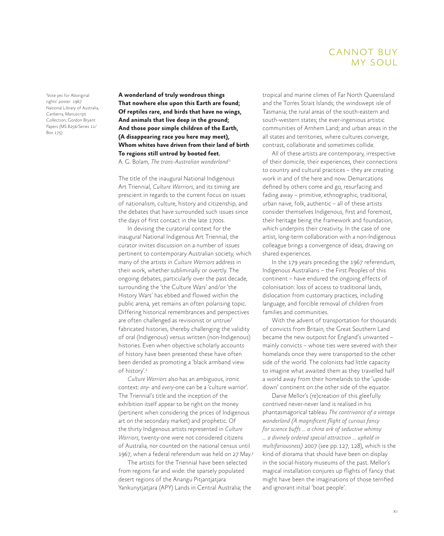## cannot buy my soul

'Vote yes for Aboriginal rights' poster 1967 National Library of Australia, Canberra, Manuscript Collection, Gordon Bryant Papers (MS 8256/Series 11/ Box 175)

**A wonderland of truly wondrous things That nowhere else upon this Earth are found; Of reptiles rare, and birds that have no wings, And animals that live deep in the ground; And those poor simple children of the Earth, (A disappearing race you here may meet), Whom whites have driven from their land of birth To regions still untrod by booted feet.** 

A. G. Bolam, *The trans-Australian wonderland* <sup>1</sup>

The title of the inaugural National Indigenous Art Triennial, *Culture Warriors*, and its timing are prescient in regards to the current focus on issues of nationalism, culture, history and citizenship, and the debates that have surrounded such issues since the days of first contact in the late 1700s.

In devising the curatorial context for the inaugural National Indigenous Art Triennial, the curator invites discussion on a number of issues pertinent to contemporary Australian society, which many of the artists in *Culture Warriors* address in their work, whether subliminally or overtly. The ongoing debates, particularly over the past decade, surrounding the 'the Culture Wars' and/or 'the History Wars' has ebbed and flowed within the public arena, yet remains an often polarising topic. Differing historical remembrances and perspectives are often challenged as revisionist or untrue/ fabricated histories, thereby challenging the validity of oral (Indigenous) versus written (non-Indigenous) histories. Even when objective scholarly accounts of history have been presented these have often been derided as promoting a 'black armband view of history'.<sup>2</sup>

*Culture Warriors* also has an ambiguous, ironic context: *any*- and *every*-one can be a 'culture warrior'. The Triennial's title and the inception of the exhibition itself appear to be right on the money (pertinent when considering the prices of Indigenous art on the secondary market) and prophetic. Of the thirty Indigenous artists represented in *Culture Warriors*, twenty-one were not considered citizens of Australia, nor counted on the national census until 1967, when a federal referendum was held on 27 May.3

The artists for the Triennial have been selected from regions far and wide: the sparsely populated desert regions of the Anangu Pitjantjatjara Yankunytjatjara (APY) Lands in Central Australia; the

tropical and marine climes of Far North Queensland and the Torres Strait Islands; the windswept isle of Tasmania; the rural areas of the south-eastern and south-western states; the ever-ingenious artistic communities of Arnhem Land; and urban areas in the all states and territories, where cultures converge, contrast, collaborate and sometimes collide.

All of these artists are contemporary, irrespective of their domicile, their experiences, their connections to country and cultural practices – they are creating work in and of the here and now. Demarcations defined by others come and go, resurfacing and fading away – primitive, ethnographic, traditional, urban naive, folk, authentic – all of these artists consider themselves Indigenous, first and foremost, their heritage being the framework and foundation, which underpins their creativity. In the case of one artist, long-term collaboration with a non-Indigenous colleague brings a convergence of ideas, drawing on shared experiences.

In the 179 years preceding the 1967 referendum, Indigenous Australians – the First Peoples of this continent – have endured the ongoing effects of colonisation: loss of access to traditional lands, dislocation from customary practices, including language, and forcible removal of children from families and communities.

With the advent of transportation for thousands of convicts from Britain, the Great Southern Land became the new outpost for England's unwanted – mainly convicts – whose ties were severed with their homelands once they were transported to the other side of the world. The colonists had little capacity to imagine what awaited them as they travelled half a world away from their homelands to the 'upsidedown' continent on the other side of the equator.

Danie Mellor's (re)creation of this gleefully contrived never-never land is realised in his phantasmagorical tableau *The contrivance of a vintage wonderland (A magnificent flight of curious fancy for science buffs … a china ark of seductive whimsy … a divinely ordered special attraction … upheld in multifariousness)* 2007 (see pp. 127, 128), which is the kind of diorama that should have been on display in the social-history museums of the past. Mellor's magical installation conjures up flights of fancy that might have been the imaginations of those terrified and ignorant initial 'boat people'.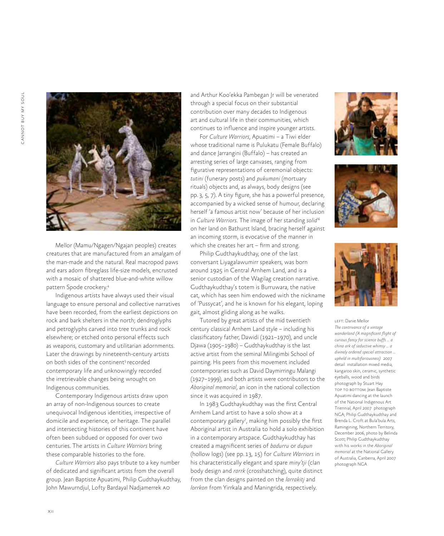

Mellor (Mamu/Ngagen/Ngajan peoples) creates creatures that are manufactured from an amalgam of the man-made and the natural. Real macropod paws and ears adorn fibreglass life-size models, encrusted with a mosaic of shattered blue-and-white willow pattern Spode crockery.4

Indigenous artists have always used their visual language to ensure personal and collective narratives have been recorded, from the earliest depictions on rock and bark shelters in the north; dendroglyphs and petroglyphs carved into tree trunks and rock elsewhere; or etched onto personal effects such as weapons, customary and utilitarian adornments. Later the drawings by nineteenth-century artists on both sides of the continent<sup>5</sup> recorded contemporary life and unknowingly recorded the irretrievable changes being wrought on Indigenous communities.

Contemporary Indigenous artists draw upon an array of non-Indigenous sources to create unequivocal Indigenous identities, irrespective of domicile and experience, or heritage. The parallel and intersecting histories of this continent have often been subdued or opposed for over two centuries. The artists in *Culture Warriors* bring these comparable histories to the fore.

*Culture Warriors* also pays tribute to a key number of dedicated and significant artists from the overall group. Jean Baptiste Apuatimi, Philip Gudthaykudthay, John Mawurndjul, Lofty Bardayal Nadjamerrek ao

and Arthur Koo'ekka Pambegan Jr will be venerated through a special focus on their substantial contribution over many decades to Indigenous art and cultural life in their communities, which continues to influence and inspire younger artists.

For *Culture Warriors*, Apuatimi – a Tiwi elder whose traditional name is Pulukatu (Female Buffalo) and dance Jarrangini (Buffalo) – has created an arresting series of large canvases, ranging from figurative representations of ceremonial objects: *tutini* (funerary posts) and *pukumani* (mortuary rituals) objects and, as always, body designs (see pp. 3, 5, 7). A tiny figure, she has a powerful presence, accompanied by a wicked sense of humour, declaring herself 'a famous artist now' because of her inclusion in *Culture Warriors*. The image of her standing *solid* <sup>6</sup> on her land on Bathurst Island, bracing herself against an incoming storm, is evocative of the manner in which she creates her art – firm and strong.

Philip Gudthaykudthay, one of the last conversant Liyagalawumirr speakers, was born around 1925 in Central Arnhem Land, and is a senior custodian of the Wagilag creation narrative. Gudthaykudthay's totem is Burruwara, the native cat, which has seen him endowed with the nickname of 'Pussycat', and he is known for his elegant, loping gait, almost gliding along as he walks.

Tutored by great artists of the mid twentieth century classical Arnhem Land style – including his classificatory father, Dawidi (1921–1970), and uncle Djawa (1905–1980) – Gudthaykudthay is the last active artist from the seminal Milingimbi School of painting. His peers from this movement included contemporaries such as David Daymirringu Malangi (1927–1999), and both artists were contributors to the *Aboriginal memorial*, an icon in the national collection since it was acquired in 1987.

In 1983 Gudthaykudthay was the first Central Arnhem Land artist to have a solo show at a contemporary gallery7 , making him possibly the first Aboriginal artist in Australia to hold a solo exhibition in a contemporary artspace. Gudthaykudthay has created a magnificent series of *badurru* or *dupun* (hollow logs) (see pp. 13, 15) for *Culture Warriors* in his characteristically elegant and spare *miny'tji* (clan body design and *rarrk* (crosshatching), quite distinct from the clan designs painted on the *larrakitj* and *lorrkon* from Yirrkala and Maningrida, respectively.







LEFT: Danie Mellor

*The contrivance of a vintage wonderland (A magnificent flight of curious fancy for science buffs … a china ark of seductive whimsy … a divinely ordered special attraction … upheld in multifariousness)* 2007 detail installation mixed media, kangaroo skin, ceramic, synthetic eyeballs, wood and birds photograph by Stuart Hay TOP TO BOTTOM: Jean Baptiste Apuatimi dancing at the launch of the National Indigenous Art Triennial, April 2007 photograph NGA; Philip Gudthaykudthay and Brenda L. Croft at Bula'bula Arts, Ramingining, Northern Territory, December 2006, photo by Belinda Scott; Philip Gudthaykudthay with his works in the *Aboriginal memorial* at the National Gallery of Australia, Canberra, April 2007 photograph NGA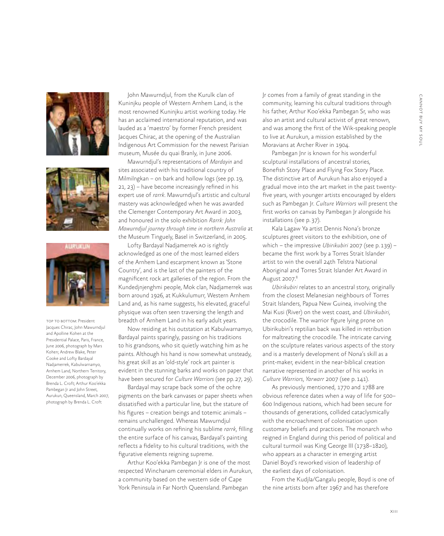





top to bottom: President Jacques Chirac, John Mawurndjul and Apolline Kohen at the Presidential Palace, Paris, France, June 2006, photograph by Mars Kohen; Andrew Blake, Peter Cooke and Lofty Bardayal Nadjamerrek, Kabulwarnamyo, Arnhem Land, Northern Territory, December 2006, photograph by Brenda L. Croft; Arthur Koo'ekka Pambegan Jr and John Street, Aurukun, Queensland, March 2007, photograph by Brenda L. Croft

John Mawurndjul, from the Kurulk clan of Kuninjku people of Western Arnhem Land, is the most renowned Kuninjku artist working today. He has an acclaimed international reputation, and was lauded as a 'maestro' by former French president Jacques Chirac, at the opening of the Australian Indigenous Art Commission for the newest Parisian museum, Musée du quai Branly, in June 2006.

Mawurndjul's representations of *Mardayin* and sites associated with his traditional country of Milmilngkan – on bark and hollow logs (see pp.19, 21, 23) – have become increasingly refined in his expert use of *rarrk*. Mawurndjul's artistic and cultural mastery was acknowledged when he was awarded the Clemenger Contemporary Art Award in 2003, and honoured in the solo exhibition *Rarrk: John Mawurndjul journey through time in northern Australia* at the Museum Tinguely, Basel in Switzerland, in 2005.

Lofty Bardayal Nadjamerrek ao is rightly acknowledged as one of the most learned elders of the Arnhem Land escarpment known as 'Stone Country', and is the last of the painters of the magnificent rock art galleries of the region. From the Kundedjnjenghmi people, Mok clan, Nadjamerrek was born around 1926, at Kukkulumurr, Western Arnhem Land and, as his name suggests, his elevated, graceful physique was often seen traversing the length and breadth of Arnhem Land in his early adult years.

Now residing at his outstation at Kabulwarnamyo, Bardayal paints sparingly, passing on his traditions to his grandsons, who sit quietly watching him as he paints. Although his hand is now somewhat unsteady, his great skill as an 'old-style' rock art painter is evident in the stunning barks and works on paper that have been secured for *Culture Warriors* (see pp.27, 29).

Bardayal may scrape back some of the ochre pigments on the bark canvases or paper sheets when dissatisfied with a particular line, but the stature of his figures – creation beings and totemic animals – remains unchallenged. Whereas Mawurndjul continually works on refining his sublime *rarrk*, filling the entire surface of his canvas, Bardayal's painting reflects a fidelity to his cultural traditions, with the figurative elements reigning supreme.

Arthur Koo'ekka Pambegan Jr is one of the most respected Winchanam ceremonial elders in Aurukun, a community based on the western side of Cape York Peninsula in Far North Queensland. Pambegan

Jr comes from a family of great standing in the community, learning his cultural traditions through his father, Arthur Koo'ekka Pambegan Sr, who was also an artist and cultural activist of great renown, and was among the first of the Wik-speaking people to live at Aurukun, a mission established by the Moravians at Archer River in 1904.

Pambegan Jnr is known for his wonderful sculptural installations of ancestral stories, Bonefish Story Place and Flying Fox Story Place. The distinctive art of Aurukun has also enjoyed a gradual move into the art market in the past twentyfive years, with younger artists encouraged by elders such as Pambegan Jr. *Culture Warriors* will present the first works on canvas by Pambegan Jr alongside his installations (see p.37).

Kala Lagaw Ya artist Dennis Nona's bronze sculptures greet visitors to the exhibition, one of which – the impressive *Ubirikubiri* 2007 (see p.139) – became the first work by a Torres Strait Islander artist to win the overall 24th Telstra National Aboriginal and Torres Strait Islander Art Award in August 2007.<sup>8</sup>

*Ubirikubiri* relates to an ancestral story, originally from the closest Melanesian neighbours of Torres Strait Islanders, Papua New Guinea, involving the Mai Kusi (River) on the west coast, and *Ubirikubiri*, the crocodile. The warrior figure lying prone on Ubirikubiri's reptilian back was killed in retribution for maltreating the crocodile. The intricate carving on the sculpture relates various aspects of the story and is a masterly development of Nona's skill as a print-maker, evident in the near-biblical creation narrative represented in another of his works in *Culture Warriors*, *Yarwarr* 2007 (see p.141).

As previously mentioned, 1770 and 1788 are obvious reference dates when a way of life for 500– 600 Indigenous nations, which had been secure for thousands of generations, collided cataclysmically with the encroachment of colonisation upon customary beliefs and practices. The monarch who reigned in England during this period of political and cultural turmoil was King George III (1738–1820), who appears as a character in emerging artist Daniel Boyd's reworked vision of leadership of the earliest days of colonisation.

From the Kudjla/Gangalu people, Boyd is one of the nine artists born after 1967 and has therefore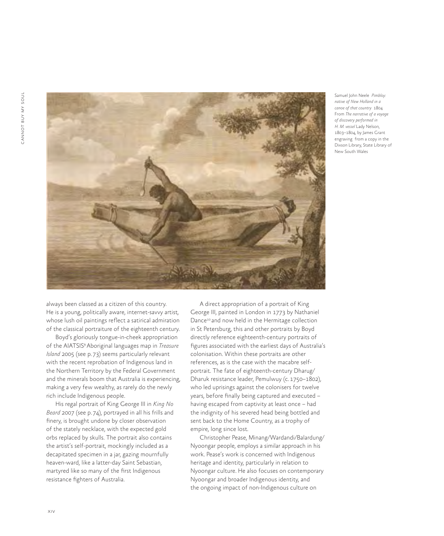

Samuel John Neele *Pimbloy: native of New Holland in a canoe of that country* 1804 From *The narrative of a voyage of discovery performed in H. M. vessel* Lady Nelson, 1803–1804, by James Grant engraving from a copy in the Dixson Library, State Library of New South Wales

always been classed as a citizen of this country. He is a young, politically aware, internet-savvy artist, whose lush oil paintings reflect a satirical admiration of the classical portraiture of the eighteenth century.

Boyd's gloriously tongue-in-cheek appropriation of the AIATSIS9 Aboriginal languages map in *Treasure Island* 2005 (see p. 73) seems particularly relevant with the recent reprobation of Indigenous land in the Northern Territory by the Federal Government and the minerals boom that Australia is experiencing, making a very few wealthy, as rarely do the newly rich include Indigenous people.

His regal portrait of King George III in *King No Beard* 2007 (see p.74), portrayed in all his frills and finery, is brought undone by closer observation of the stately necklace, with the expected gold orbs replaced by skulls. The portrait also contains the artist's self-portrait, mockingly included as a decapitated specimen in a jar, gazing mournfully heaven-ward, like a latter-day Saint Sebastian, martyred like so many of the first Indigenous resistance fighters of Australia.

A direct appropriation of a portrait of King George III, painted in London in 1773 by Nathaniel Dance<sup>10</sup> and now held in the Hermitage collection in St Petersburg, this and other portraits by Boyd directly reference eighteenth-century portraits of figures associated with the earliest days of Australia's colonisation. Within these portraits are other references, as is the case with the macabre selfportrait. The fate of eighteenth-century Dharug/ Dharuk resistance leader, Pemulwuy (c.1750–1802), who led uprisings against the colonisers for twelve years, before finally being captured and executed – having escaped from captivity at least once – had the indignity of his severed head being bottled and sent back to the Home Country, as a trophy of empire, long since lost.

Christopher Pease, Minang/Wardandi/Balardung/ Nyoongar people, employs a similar approach in his work. Pease's work is concerned with Indigenous heritage and identity, particularly in relation to Nyoongar culture. He also focuses on contemporary Nyoongar and broader Indigenous identity, and the ongoing impact of non-Indigenous culture on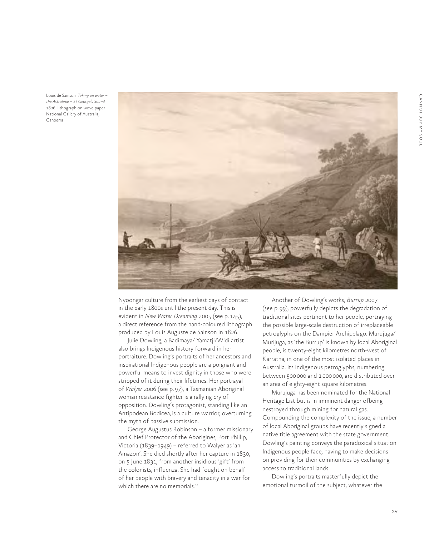Louis de Sainson *Taking on water – the Astrolabe – St George's Sound*  1826 lithograph on wove paper National Gallery of Australia, Canberra



Nyoongar culture from the earliest days of contact in the early 1800s until the present day. This is evident in *New Water Dreaming* 2005 (see p.145), a direct reference from the hand-coloured lithograph produced by Louis Auguste de Sainson in 1826.

Julie Dowling, a Badimaya/ Yamatji/Widi artist also brings Indigenous history forward in her portraiture. Dowling's portraits of her ancestors and inspirational Indigenous people are a poignant and powerful means to invest dignity in those who were stripped of it during their lifetimes. Her portrayal of *Walyer* 2006 (see p. 97), a Tasmanian Aboriginal woman resistance fighter is a rallying cry of opposition. Dowling's protagonist, standing like an Antipodean Bodicea, is a culture warrior, overturning the myth of passive submission.

George Augustus Robinson – a former missionary and Chief Protector of the Aborigines, Port Phillip, Victoria (1839–1949) – referred to Walyer as 'an Amazon'. She died shortly after her capture in 1830, on 5 June 1831, from another insidious 'gift' from the colonists, influenza. She had fought on behalf of her people with bravery and tenacity in a war for which there are no memorials.<sup>11</sup>

Another of Dowling's works, *Burrup* 2007 (see p. 99), powerfully depicts the degradation of traditional sites pertinent to her people, portraying the possible large-scale destruction of irreplaceable petroglyphs on the Dampier Archipelago. Murujuga/ Murijuga, as 'the Burrup' is known by local Aboriginal people, is twenty-eight kilometres north-west of Karratha, in one of the most isolated places in Australia. Its Indigenous petroglyphs, numbering between 500000 and 1 000 000, are distributed over an area of eighty-eight square kilometres.

Murujuga has been nominated for the National Heritage List but is in imminent danger ofbeing destroyed through mining for natural gas. Compounding the complexity of the issue, a number of local Aboriginal groups have recently signed a native title agreement with the state government. Dowling's painting conveys the paradoxical situation Indigenous people face, having to make decisions on providing for their communities by exchanging access to traditional lands.

Dowling's portraits masterfully depict the emotional turmoil of the subject, whatever the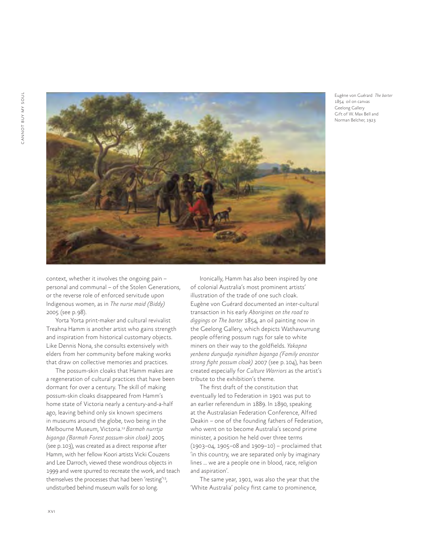

Eugène von Guérard *The barter* 1854 oil on canvas Geelong Gallery Gift of W. Max Bell and Norman Belcher, 1923

context, whether it involves the ongoing pain – personal and communal – of the Stolen Generations, or the reverse role of enforced servitude upon Indigenous women, as in *The nurse maid (Biddy)* 2005 (see p. 98).

Yorta Yorta print-maker and cultural revivalist Treahna Hamm is another artist who gains strength and inspiration from historical customary objects. Like Dennis Nona, she consults extensively with elders from her community before making works that draw on collective memories and practices.

The possum-skin cloaks that Hamm makes are a regeneration of cultural practices that have been dormant for over a century. The skill of making possum-skin cloaks disappeared from Hamm's home state of Victoria nearly a century-and-a-half ago, leaving behind only six known specimens in museums around the globe, two being in the Melbourne Museum, Victoria.12 *Barmah nurrtja biganga (Barmah Forest possum-skin cloak)* 2005 (see p.103), was created as a direct response after Hamm, with her fellow Koori artists Vicki Couzens and Lee Darroch, viewed these wondrous objects in 1999 and were spurred to recreate the work, and teach themselves the processes that had been 'resting'13, undisturbed behind museum walls for so long.

Ironically, Hamm has also been inspired by one of colonial Australia's most prominent artists' illustration of the trade of one such cloak. Eugène von Guérard documented an inter-cultural transaction in his early *Aborigines on the road to diggings* or *The barter* 1854, an oil painting now in the Geelong Gallery, which depicts Wathawurrung people offering possum rugs for sale to white miners on their way to the goldfields. *Yakapna yenbena dungudja nyinidhan biganga (Family ancestor strong fight possum cloak)* 2007 (see p. 104), has been created especially for *Culture Warriors* as the artist's tribute to the exhibition's theme.

The first draft of the constitution that eventually led to Federation in 1901 was put to an earlier referendum in 1889. In 1890, speaking at the Australasian Federation Conference, Alfred Deakin – one of the founding fathers of Federation, who went on to become Australia's second prime minister, a position he held over three terms (1903–04, 1905–08 and 1909–10) – proclaimed that 'in this country, we are separated only by imaginary lines ... we are a people one in blood, race, religion and aspiration'.

The same year, 1901, was also the year that the 'White Australia' policy first came to prominence,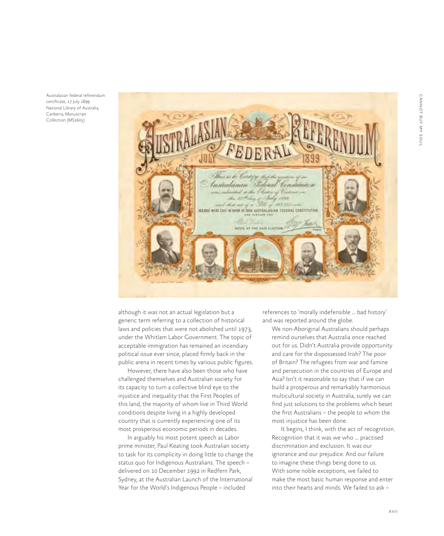Australasian federal referendum certificate, 17 July 1899 National Library of Australia, Canberra, Manuscript Collection (MS1605)



although it was not an actual legislation but a generic term referring to a collection of historical laws and policies that were not abolished until 1973, under the Whitlam Labor Government. The topic of acceptable immigration has remained an incendiary political issue ever since, placed firmly back in the public arena in recent times by various public figures.

However, there have also been those who have challenged themselves and Australian society for its capacity to turn a collective blind eye to the injustice and inequality that the First Peoples of this land, the majority of whom live in Third World conditions despite living in a highly developed country that is currently experiencing one of its most prosperous economic periods in decades.

In arguably his most potent speech as Labor prime minister, Paul Keating took Australian society to task for its complicity in doing little to change the status quo for Indigenous Australians. The speech – delivered on 10 December 1992 in Redfern Park, Sydney, at the Australian Launch of the International Year for the World's Indigenous People – included

references to 'morally indefensible … bad history' and was reported around the globe.

We non-Aboriginal Australians should perhaps remind ourselves that Australia once reached out for us. Didn't Australia provide opportunity and care for the dispossessed Irish? The poor of Britain? The refugees from war and famine and persecution in the countries of Europe and Asia? Isn't it reasonable to say that if we can build a prosperous and remarkably harmonious multicultural society in Australia, surely we can find just solutions to the problems which beset the first Australians – the people to whom the most injustice has been done.

It begins, I think, with the act of recognition. Recognition that it was we who … practised discrimination and exclusion. It was our ignorance and our prejudice. And our failure to imagine these things being done to us. With some noble exceptions, we failed to make the most basic human response and enter into their hearts and minds. We failed to ask –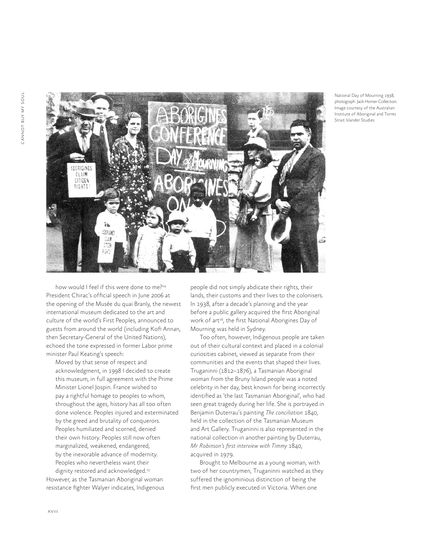

National Day of Mourning 1938, photograph Jack Horner Collection. Image courtesy of the Australian Institute of Aboriginal and Torres Strait Islander Studies

how would I feel if this were done to me?<sup>14</sup> President Chirac's official speech in June 2006 at the opening of the Musée du quai Branly, the newest international museum dedicated to the art and culture of the world's First Peoples, announced to guests from around the world (including Kofi Annan, then Secretary-General of the United Nations), echoed the tone expressed in former Labor prime minister Paul Keating's speech:

Moved by that sense of respect and acknowledgment, in 1998 I decided to create this museum, in full agreement with the Prime Minister Lionel Jospin. France wished to pay a rightful homage to peoples to whom, throughout the ages, history has all too often done violence. Peoples injured and exterminated by the greed and brutality of conquerors. Peoples humiliated and scorned, denied their own history. Peoples still now often marginalized, weakened, endangered, by the inexorable advance of modernity. Peoples who nevertheless want their

dignity restored and acknowledged.<sup>15</sup> However, as the Tasmanian Aboriginal woman resistance fighter Walyer indicates, Indigenous

people did not simply abdicate their rights, their lands, their customs and their lives to the colonisers. In 1938, after a decade's planning and the year before a public gallery acquired the first Aboriginal work of art<sup>16</sup>, the first National Aborigines Day of Mourning was held in Sydney.

Too often, however, Indigenous people are taken out of their cultural context and placed in a colonial curiosities cabinet, viewed as separate from their communities and the events that shaped their lives. Truganinni (1812–1876), a Tasmanian Aboriginal woman from the Bruny Island people was a noted celebrity in her day, best known for being incorrectly identified as 'the last Tasmanian Aboriginal', who had seen great tragedy during her life. She is portrayed in Benjamin Duterrau's painting *The conciliation* 1840, held in the collection of the Tasmanian Museum and Art Gallery. Truganinni is also represented in the national collection in another painting by Duterrau, *Mr Robinson's first interview with Timmy* 1840, acquired in 1979.

Brought to Melbourne as a young woman, with two of her countrymen, Truganinni watched as they suffered the ignominious distinction of being the first men publicly executed in Victoria. When one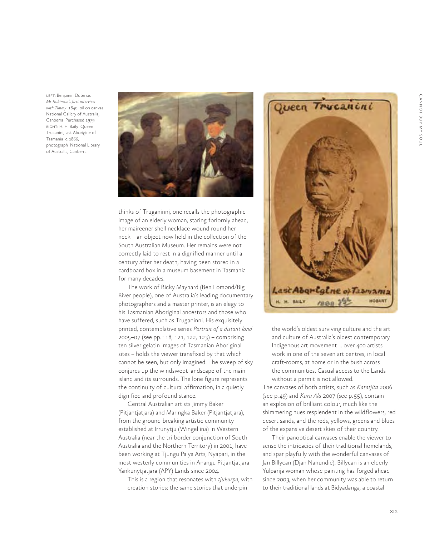LEFT: Benjamin Duterrau *Mr Robinson's first interview with Timmy* 1840 oil on canvas National Gallery of Australia, Canberra Purchased 1979 RIGHT: H. H. Baily Queen Trucanini, last Aborigine of Tasmania c. 1866, photograph National Library of Australia, Canberra



thinks of Truganinni, one recalls the photographic image of an elderly woman, staring forlornly ahead, her maireener shell necklace wound round her neck – an object now held in the collection of the South Australian Museum. Her remains were not correctly laid to rest in a dignified manner until a century after her death, having been stored in a cardboard box in a museum basement in Tasmania for many decades.

The work of Ricky Maynard (Ben Lomond/Big River people), one of Australia's leading documentary photographers and a master printer, is an elegy to his Tasmanian Aboriginal ancestors and those who have suffered, such as Truganinni. His exquisitely printed, contemplative series *Portrait of a distant land* 2005–07 (see pp. 118, 121, 122, 123) – comprising ten silver gelatin images of Tasmanian Aboriginal sites – holds the viewer transfixed by that which cannot be seen, but only imagined. The sweep of sky conjures up the windswept landscape of the main island and its surrounds. The lone figure represents the continuity of cultural affirmation, in a quietly dignified and profound stance.

Central Australian artists Jimmy Baker (Pitjantjatjara) and Maringka Baker (Pitjantjatjara), from the ground-breaking artistic community established at Irrunytju (Wingellina) in Western Australia (near the tri-border conjunction of South Australia and the Northern Territory) in 2001, have been working at Tjungu Palya Arts, Nyapari, in the most westerly communities in Anangu Pitjantjatjara Yankunytjatjara (APY) Lands since 2004.

This is a region that resonates with *tjukurpa*, with creation stories: the same stories that underpin



the world's oldest surviving culture and the art and culture of Australia's oldest contemporary Indigenous art movement ... over 400 artists work in one of the seven art centres, in local craft-rooms, at home or in the bush across the communities. Casual access to the Lands without a permit is not allowed. The canvases of both artists, such as *Katatjita* 2006

(see p. 49) and *Kuru Ala* 2007 (see p.55), contain an explosion of brilliant colour, much like the shimmering hues resplendent in the wildflowers, red desert sands, and the reds, yellows, greens and blues of the expansive desert skies of their country.

Their panoptical canvases enable the viewer to sense the intricacies of their traditional homelands, and spar playfully with the wonderful canvases of Jan Billycan (Djan Nanundie). Billycan is an elderly Yulparija woman whose painting has forged ahead since 2003, when her community was able to return to their traditional lands at Bidyadanga, a coastal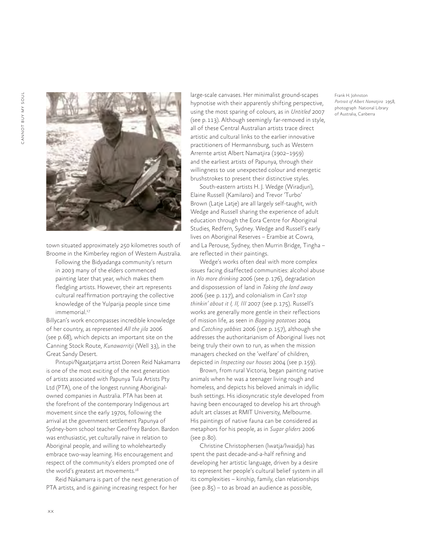

town situated approximately 250 kilometres south of Broome in the Kimberley region of Western Australia.

Following the Bidyadanga community's return in 2003 many of the elders commenced painting later that year, which makes them fledgling artists. However, their art represents cultural reaffirmation portraying the collective knowledge of the Yulparija people since time immemorial.<sup>17</sup>

Billycan's work encompasses incredible knowledge of her country, as represented *All the jila* 2006 (see p. 68), which depicts an important site on the Canning Stock Route, *Kunawarritji* (Well 33), in the Great Sandy Desert.

Pintupi/Ngaatjatjarra artist Doreen Reid Nakamarra is one of the most exciting of the next generation of artists associated with Papunya Tula Artists Pty Ltd (PTA), one of the longest running Aboriginalowned companies in Australia. PTA has been at the forefront of the contemporary Indigenous art movement since the early 1970s, following the arrival at the government settlement Papunya of Sydney-born school teacher Geoffrey Bardon. Bardon was enthusiastic, yet culturally naive in relation to Aboriginal people, and willing to wholeheartedly embrace two-way learning. His encouragement and respect of the community's elders prompted one of the world's greatest art movements.<sup>18</sup>

Reid Nakamarra is part of the next generation of PTA artists, and is gaining increasing respect for her

large-scale canvases. Her minimalist ground-scapes hypnotise with their apparently shifting perspective, using the most sparing of colours, as in *Untitled* 2007 (see p. 113). Although seemingly far-removed in style, all of these Central Australian artists trace direct artistic and cultural links to the earlier innovative practitioners of Hermannsburg, such as Western Arrernte artist Albert Namatjira (1902–1959) and the earliest artists of Papunya, through their willingness to use unexpected colour and energetic brushstrokes to present their distinctive styles.

South-eastern artists H. J. Wedge (Wiradjuri), Elaine Russell (Kamilaroi) and Trevor 'Turbo' Brown (Latje Latje) are all largely self-taught, with Wedge and Russell sharing the experience of adult education through the Eora Centre for Aboriginal Studies, Redfern, Sydney. Wedge and Russell's early lives on Aboriginal Reserves – Erambie at Cowra, and La Perouse, Sydney, then Murrin Bridge, Tingha – are reflected in their paintings.

Wedge's works often deal with more complex issues facing disaffected communities: alcohol abuse in *No more drinking* 2006 (see p. 176), degradation and dispossession of land in *Taking the land away* 2006 (see p.117), and colonialism in *Can't stop thinkin' about it I, II, III* 2007 (see p.175). Russell's works are generally more gentle in their reflections of mission life, as seen in *Bagging potatoes* 2004 and *Catching yabbies* 2006 (see p.157), although she addresses the authoritarianism of Aboriginal lives not being truly their own to run, as when the mission managers checked on the 'welfare' of children, depicted in *Inspecting our houses* 2004 (see p. 159).

Brown, from rural Victoria, began painting native animals when he was a teenager living rough and homeless, and depicts his beloved animals in idyllic bush settings. His idiosyncratic style developed from having been encouraged to develop his art through adult art classes at RMIT University, Melbourne. His paintings of native fauna can be considered as metaphors for his people, as in *Sugar gliders* 2006 (see p.80).

Christine Christophersen (Iwatja/Iwaidja) has spent the past decade-and-a-half refining and developing her artistic language, driven by a desire to represent her people's cultural belief system in all its complexities – kinship, family, clan relationships (see p.85) – to as broad an audience as possible,

Frank H. Johnston *Portrait of Albert Namatjira* 1958, photograph National Library of Australia, Canberra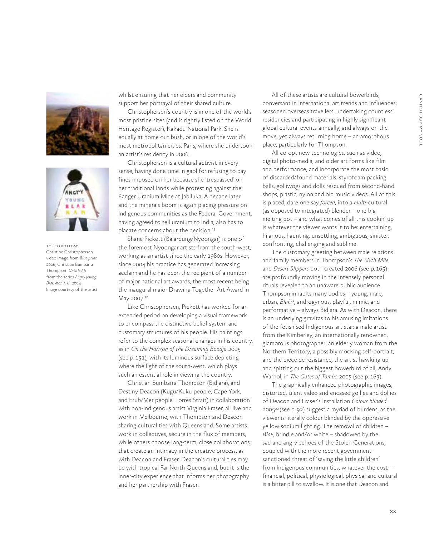



top to bottom: Christine Christophersen video image from *Blue print* 2006; Christian Bumbarra Thompson *Untitled II*  from the series *Angry young Blak man I, II* 2004 Image courtesy of the artist

whilst ensuring that her elders and community support her portrayal of their shared culture.

Christophersen's country is in one of the world's most pristine sites (and is rightly listed on the World Heritage Register), Kakadu National Park. She is equally at home out bush, or in one of the world's most metropolitan cities, Paris, where she undertook an artist's residency in 2006.

Christophersen is a cultural activist in every sense, having done time in gaol for refusing to pay fines imposed on her because she 'trespassed' on her traditional lands while protesting against the Ranger Uranium Mine at Jabiluka. A decade later and the minerals boom is again placing pressure on Indigenous communities as the Federal Government, having agreed to sell uranium to India, also has to placate concerns about the decision.<sup>19</sup>

Shane Pickett (Balardung/Nyoongar) is one of the foremost Nyoongar artists from the south-west, working as an artist since the early 1980s. However, since 2004 his practice has generated increasing acclaim and he has been the recipient of a number of major national art awards, the most recent being the inaugural major Drawing Together Art Award in May 2007.<sup>20</sup>

Like Christophersen, Pickett has worked for an extended period on developing a visual framework to encompass the distinctive belief system and customary structures of his people. His paintings refer to the complex seasonal changes in his country, as in *On the Horizon of the Dreaming Boodja* 2005 (see p.151), with its luminous surface depicting where the light of the south-west, which plays such an essential role in viewing the country.

Christian Bumbarra Thompson (Bidjara), and Destiny Deacon (Kugu/Kuku people, Cape York, and Erub/Mer people, Torres Strait) in collaboration with non-Indigenous artist Virginia Fraser, all live and work in Melbourne, with Thompson and Deacon sharing cultural ties with Queensland. Some artists work in collectives, secure in the flux of members, while others choose long-term, close collaborations that create an intimacy in the creative process, as with Deacon and Fraser. Deacon's cultural ties may be with tropical Far North Queensland, but it is the inner-city experience that informs her photography and her partnership with Fraser.

All of these artists are cultural bowerbirds, conversant in international art trends and influences; seasoned overseas travellers, undertaking countless residencies and participating in highly significant global cultural events annually; and always on the move, yet always returning home – an amorphous place, particularly for Thompson.

All co-opt new technologies, such as video, digital photo-media, and older art forms like film and performance, and incorporate the most basic of discarded/found materials: styrofoam packing balls, golliwogs and dolls rescued from second-hand shops, plastic, nylon and old music videos. All of this is placed, dare one say *forced*, into a *multi*-cultural (as opposed to integrated) blender – one big melting pot – and what comes of all this cookin' up is whatever the viewer wants it to be: entertaining, hilarious, haunting, unsettling, ambiguous, sinister, confronting, challenging and sublime.

The customary greeting between male relations and family members in Thompson's *The Sixth Mile* and *Desert Slippers* both created 2006 (see p.165) are profoundly moving in the intensely personal rituals revealed to an unaware public audience. Thompson inhabits many bodies – young, male, urban, *Blak*21, androgynous, playful, mimic, and performative – always Bidjara. As with Deacon, there is an underlying gravitas to his amusing imitations of the fetishised Indigenous art star: a male artist from the Kimberley; an internationally renowned, glamorous photographer; an elderly woman from the Northern Territory; a possibly mocking self-portrait; and the piece de resistance, the artist hawking up and spitting out the biggest bowerbird of all, Andy Warhol, in *The Gates of Tambo* 2005 (see p.163).

The graphically enhanced photographic images, distorted, silent video and encased gollies and dollies of Deacon and Fraser's installation *Colour blinded*  $2005^{22}$  (see p.92) suggest a myriad of burdens, as the viewer is literally colour blinded by the oppressive yellow sodium lighting. The removal of children – *Blak*, brindle and/or white – shadowed by the sad and angry echoes of the Stolen Generations, coupled with the more recent governmentsanctioned threat of 'saving the little children' from Indigenous communities, whatever the cost – financial, political, physiological, physical and cultural is a bitter pill to swallow. It is one that Deacon and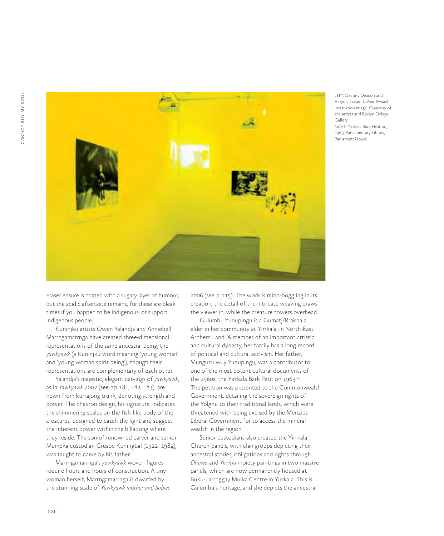

LEFT: Destiny Deacon and Virginia Fraser *Colour blinded* installation image Courtesy of the artists and Roslyn Oxley9 **Gallery** RIGHT: Yirrkala Bark Petition, 1963, Parliamentary Library, Parliament House

Fraser ensure is coated with a sugary layer of humour, but the acidic aftertaste remains, for these are bleak times if you happen to be Indigenous, or support Indigenous people.

Kuninjku artists Owen Yalandja and Anniebell Marrngamarrnga have created three-dimensional representations of the same ancestral being, the *yawkyawk* (a Kuninjku word meaning 'young woman' and 'young woman spirit being'), though their representations are complementary of each other.

Yalandja's majestic, elegant carvings of *yawkyawk*, as in *Yawkyawk* 2007 (see pp.181, 182, 183), are hewn from kurrajong trunk, denoting strength and power. The chevron design, his signature, indicates the shimmering scales on the fish-like body of the creatures, designed to catch the light and suggest the inherent power within the billabong where they reside. The son of renowned carver and senior Mumeka custodian Crusoe Kuningbal (1922–1984), was taught to carve by his father.

Marrngamarrnga's *yawkyawk* woven figures require hours and hours of construction. A tiny woman herself, Marrngamarrnga is dwarfed by the stunning scale of *Yawkyawk mother and babies* 2006 (see p. 115). The work is mind-boggling in its creation, the detail of the intricate weaving draws the viewer in, while the creature towers overhead.

Gulumbu Yunupingu is a Gumatj/Rrakpala elder in her community at Yirrkala, in North-East Arnhem Land. A member of an important artistic and cultural dynasty, her family has a long record of political and cultural activism. Her father, Mungurruwuy Yunupingu, was a contributor to one of the most potent cultural documents of the 1960s: the Yirrkala Bark Petition 1963.<sup>23</sup> The petition was presented to the Commonwealth Government, detailing the sovereign rights of the Yolgnu to their traditional lands, which were threatened with being excised by the Menzies Liberal Government for to access the mineral wealth in the region.

Senior custodians also created the Yirrkala Church panels, with clan groups depicting their ancestral stories, obligations and rights through *Dhuwa* and *Yirritja* moiety paintings in two massive panels, which are now permanently housed at Buku-Larrnggay Mulka Centre in Yirrkala. This is Gulumbu's heritage, and she depicts the ancestral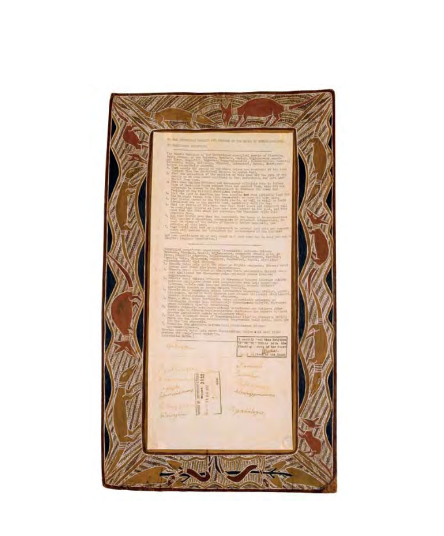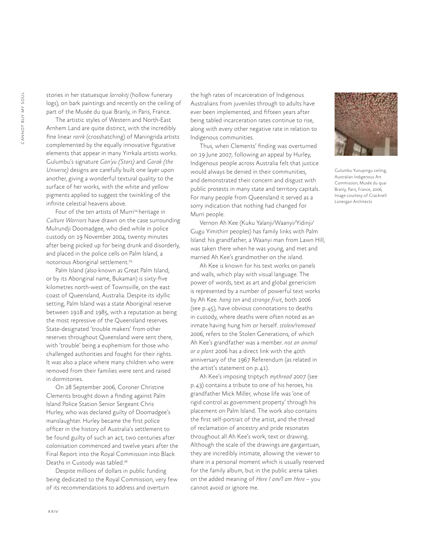stories in her statuesque *larrakitj* (hollow funerary logs), on bark paintings and recently on the ceiling of part of the Musée du quai Branly, in Paris, France.

The artistic styles of Western and North-East Arnhem Land are quite distinct, with the incredibly fine linear *rarrk* (crosshatching) of Maningrida artists complemented by the equally innovative figurative elements that appear in many Yirrkala artists works. Gulumbu's signature *Gan'yu (Stars)* and *Garak (the Universe)* designs are carefully built one layer upon another, giving a wonderful textural quality to the surface of her works, with the white and yellow pigments applied to suggest the twinkling of the infinite celestial heavens above.

Four of the ten artists of Murri<sup>24</sup> heritage in *Culture Warriors* have drawn on the case surrounding Mulrundji Doomadgee, who died while in police custody on 19 November 2004, twenty minutes after being picked up for being drunk and disorderly, and placed in the police cells on Palm Island, a notorious Aboriginal settlement.<sup>25</sup>

Palm Island (also known as Great Palm Island, or by its Aboriginal name, Bukaman) is sixty-five kilometres north-west of Townsville, on the east coast of Queensland, Australia. Despite its idyllic setting, Palm Island was a state Aboriginal reserve between 1918 and 1985, with a reputation as being the most repressive of the Queensland reserves. State-designated 'trouble makers' from other reserves throughout Queensland were sent there, with 'trouble' being a euphemism for those who challenged authorities and fought for their rights. It was also a place where many children who were removed from their families were sent and raised in dormitories.

On 28 September 2006, Coroner Christine Clements brought down a finding against Palm Island Police Station Senior Sergeant Chris Hurley, who was declared guilty of Doomadgee's manslaughter. Hurley became the first police officer in the history of Australia's settlement to be found guilty of such an act, two centuries after colonisation commenced and twelve years after the Final Report into the Royal Commission into Black Deaths in Custody was tabled.<sup>26</sup>

Despite millions of dollars in public funding being dedicated to the Royal Commission, very few of its recommendations to address and overturn

the high rates of incarceration of Indigenous Australians from juveniles through to adults have ever been implemented, and fifteen years after being tabled incarceration rates continue to rise, along with every other negative rate in relation to Indigenous communities.

Thus, when Clements' finding was overturned on 19 June 2007, following an appeal by Hurley, Indigenous people across Australia felt that justice would always be denied in their communities, and demonstrated their concern and disgust with public protests in many state and territory capitals. For many people from Queensland it served as a sorry indication that nothing had changed for Murri people.

Vernon Ah Kee (Kuku Yalanji/Waanyi/Yidinji/ Gugu Yimithirr peoples) has family links with Palm Island: his grandfather, a Waanyi man from Lawn Hill, was taken there when he was young, and met and married Ah Kee's grandmother on the island.

Ah Kee is known for his text works on panels and walls, which play with visual language. The power of words, text as art and global genericism is represented by a number of powerful text works by Ah Kee. *hang ten* and *strange fruit*, both 2006 (see p. 45), have obvious connotations to deaths in custody, where deaths were often noted as an inmate having hung him or herself. *stolen/removed*  2006, refers to the Stolen Generations, of which Ah Kee's grandfather was a member. *not an animal or a plant* 2006 has a direct link with the 40th anniversary of the 1967 Referendum (as related in the artist's statement on p.41).

Ah Kee's imposing triptych *mythread* 2007 (see p. 43) contains a tribute to one of his heroes, his grandfather Mick Miller, whose life was 'one of rigid control as government property' through his placement on Palm Island. The work also contains the first self-portrait of the artist, and the thread of reclamation of ancestry and pride resonates throughout all Ah Kee's work, text or drawing. Although the scale of the drawings are gargantuan, they are incredibly intimate, allowing the viewer to share in a personal moment which is usually reserved for the family album, but in the public arena takes on the added meaning of *Here I am/I am Here* – you cannot avoid or ignore me.



Gulumbu Yunupingu ceiling, Australian Indigenous Art Commission, Musée du quai Branly, Paris, France, 2006, Image courtesy of Cracknell Lonergan Architects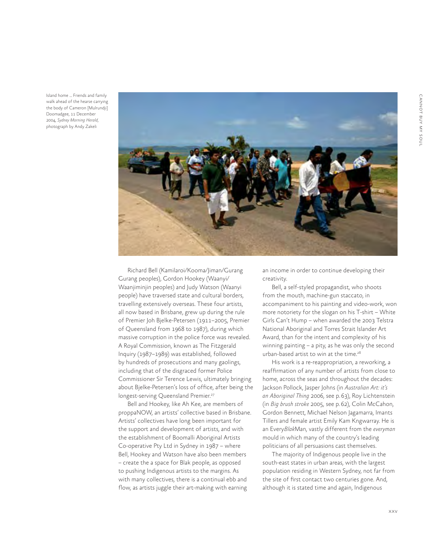Island home ... Friends and family walk ahead of the hearse carrying the body of Cameron [Mulrundji] Doomadgee, 11 December 2004, *Sydney Morning Herald*, photograph by Andy Zakeli



Richard Bell (Kamilaroi/Kooma/Jiman/Gurang Gurang peoples), Gordon Hookey (Waanyi/ Waanjiminjin peoples) and Judy Watson (Waanyi people) have traversed state and cultural borders, travelling extensively overseas. These four artists, all now based in Brisbane, grew up during the rule of Premier Joh Bjelke-Petersen (1911–2005, Premier of Queensland from 1968 to 1987), during which massive corruption in the police force was revealed. A Royal Commission, known as The Fitzgerald Inquiry (1987–1989) was established, followed by hundreds of prosecutions and many gaolings, including that of the disgraced former Police Commissioner Sir Terence Lewis, ultimately bringing about Bjelke-Petersen's loss of office, after being the longest-serving Queensland Premier.<sup>27</sup>

Bell and Hookey, like Ah Kee, are members of proppaNOW, an artists' collective based in Brisbane. Artists' collectives have long been important for the support and development of artists, and with the establishment of Boomalli Aboriginal Artists Co-operative Pty Ltd in Sydney in 1987 – where Bell, Hookey and Watson have also been members – create the a space for Blak people, as opposed to pushing Indigenous artists to the margins. As with many collectives, there is a continual ebb and flow, as artists juggle their art-making with earning

an income in order to continue developing their creativity.

Bell, a self-styled propagandist, who shoots from the mouth, machine-gun staccato, in accompaniment to his painting and video-work, won more notoriety for the slogan on his T-shirt – White Girls Can't Hump – when awarded the 2003 Telstra National Aboriginal and Torres Strait Islander Art Award, than for the intent and complexity of his winning painting – a pity, as he was only the second urban-based artist to win at the time.<sup>28</sup>

His work is a re-reappropriation, a reworking, a reaffirmation of any number of artists from close to home, across the seas and throughout the decades: Jackson Pollock, Jasper Johns (in *Australian Art: it's an Aboriginal Thing* 2006, see p. 63), Roy Lichtenstein (in *Big brush stroke* 2005, see p. 62), Colin McCahon, Gordon Bennett, Michael Nelson Jagamarra, Imants Tillers and female artist Emily Kam Kngwarray. He is an Every*Blak*Man, vastly different from the *everyman* mould in which many of the country's leading politicians of all persuasions cast themselves.

The majority of Indigenous people live in the south-east states in urban areas, with the largest population residing in Western Sydney, not far from the site of first contact two centuries gone. And, although it is stated time and again, Indigenous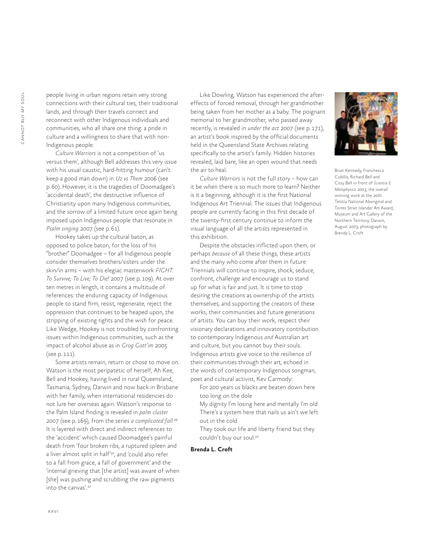people living in urban regions retain very strong connections with their cultural ties, their traditional lands, and through their travels connect and reconnect with other Indigenous individuals and communities, who all share one thing: a pride in culture and a willingness to share that with non-Indigenous people.

*Culture Warriors* is not a competition of 'us versus them', although Bell addresses this very issue with his usual caustic, hard-hitting humour (can't keep a good man down) in *Uz vs Them* 2006 (see p. 60). However, it is the tragedies of Doomadgee's 'accidental death', the destructive influence of Christianity upon many Indigenous communities, and the sorrow of a limited future once again being imposed upon Indigenous people that resonate in *Psalm singing* 2007 (see p. 61).

Hookey takes up the cultural baton, as opposed to police baton, for the loss of his "brother" Doomadgee – for all Indigenous people consider themselves brothers/sisters under the skin/in arms – with his elegiac masterwork *FIGHT: To Survive; To Live; To Die!* 2007 (see p.109). At over ten metres in length, it contains a multitude of references: the enduring capacity of Indigenous people to stand firm, resist, regenerate, reject the oppression that continues to be heaped upon, the stripping of existing rights and the wish for peace. Like Wedge, Hookey is not troubled by confronting issues within Indigenous communities, such as the impact of alcohol abuse as in *Grog Gott'im* 2005 (see p.111).

Some artists remain, return or chose to move on. Watson is the most peripatetic of herself, Ah Kee, Bell and Hookey, having lived in rural Queensland, Tasmania, Sydney, Darwin and now back in Brisbane with her family, when international residencies do not lure her overseas again. Watson's response to the Palm Island finding is revealed in *palm cluster*  2007 (see p. 169), from the series *a complicated fall.*<sup>29</sup> It is layered with direct and indirect references to the 'accident' which caused Doomadgee's painful death from 'four broken ribs, a ruptured spleen and a liver almost split in half'<sup>30</sup>, and 'could also refer to a fall from grace, a fall of government' and the 'internal grieving that [the artist] was aware of when [she] was pushing and scrubbing the raw pigments into the canvas'.31

Like Dowling, Watson has experienced the aftereffects of forced removal, through her grandmother being taken from her mother as a baby. The poignant memorial to her grandmother, who passed away recently, is revealed in *under the act* 2007 (see p.171), an artist's book inspired by the official documents held in the Queensland State Archives relating specifically to the artist's family. Hidden histories revealed, laid bare, like an open wound that needs the air to heal.

*Culture Warriors* is not the full story – how can it be when there is so much more to learn? Neither is it a beginning, although it is the first National Indigenous Art Triennial. The issues that Indigenous people are currently facing in this first decade of the twenty-first century continue to inform the visual language of all the artists represented in this exhibition.

Despite the obstacles inflicted upon them, or perhaps *because* of all these things, these artists and the many who come after them in future Triennials will continue to inspire, shock, seduce, confront, challenge and encourage us to stand up for what is fair and just. It is time to stop desiring the creations as ownership of the artists themselves, and supporting the creators of these works, their communities and future generations of artists. You can buy their work, respect their visionary declarations and innovatory contribution to contemporary Indigenous *and* Australian art and culture, but you cannot buy their souls. Indigenous artists give voice to the resilience of their communities through their art, echoed in the words of contemporary Indigenous songman, poet and cultural activist, Kev Carmody:

For 200 years us blacks are beaten down here too long on the dole

My dignity I'm losing here and mentally I'm old There's a system here that nails us ain't we left out in the cold

They took our life and liberty friend but they couldn't buy our soul.32

## **Brenda L. Croft**



Brian Kennedy, Franchesca Cubillo, Richard Bell and Cissy Bell in front of *Scientia E Metaphysica* 2003, the overall winning work at the 20th Telstra National Aboriginal and Torres Strait Islander Art Award, Museum and Art Gallery of the Northern Territory, Darwin, August 2003, photograph by Brenda L. Croft